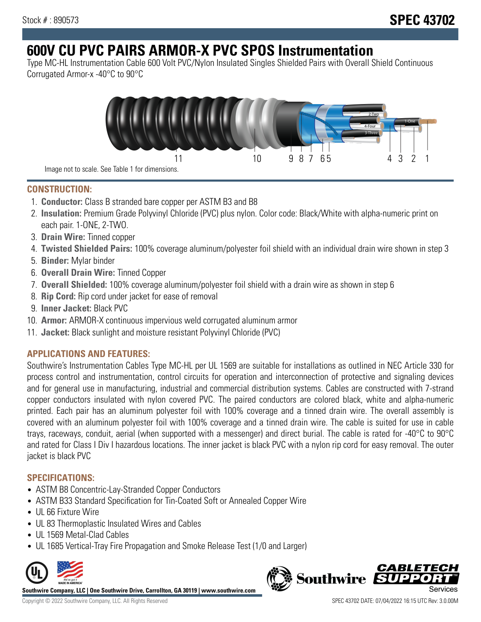# **600V CU PVC PAIRS ARMOR-X PVC SPOS Instrumentation**

Type MC-HL Instrumentation Cable 600 Volt PVC/Nylon Insulated Singles Shielded Pairs with Overall Shield Continuous Corrugated Armor-x -40°C to 90°C



Image not to scale. See Table 1 for dimensions.

## **CONSTRUCTION:**

- 1. **Conductor:** Class B stranded bare copper per ASTM B3 and B8
- 2. **Insulation:** Premium Grade Polyvinyl Chloride (PVC) plus nylon. Color code: Black/White with alpha-numeric print on each pair. 1-ONE, 2-TWO.
- 3. **Drain Wire:** Tinned copper
- 4. **Twisted Shielded Pairs:** 100% coverage aluminum/polyester foil shield with an individual drain wire shown in step 3
- 5. **Binder:** Mylar binder
- 6. **Overall Drain Wire:** Tinned Copper
- 7. **Overall Shielded:** 100% coverage aluminum/polyester foil shield with a drain wire as shown in step 6
- 8. **Rip Cord:** Rip cord under jacket for ease of removal
- 9. **Inner Jacket:** Black PVC
- 10. **Armor:** ARMOR-X continuous impervious weld corrugated aluminum armor
- 11. **Jacket:** Black sunlight and moisture resistant Polyvinyl Chloride (PVC)

## **APPLICATIONS AND FEATURES:**

Southwire's Instrumentation Cables Type MC-HL per UL 1569 are suitable for installations as outlined in NEC Article 330 for process control and instrumentation, control circuits for operation and interconnection of protective and signaling devices and for general use in manufacturing, industrial and commercial distribution systems. Cables are constructed with 7-strand copper conductors insulated with nylon covered PVC. The paired conductors are colored black, white and alpha-numeric printed. Each pair has an aluminum polyester foil with 100% coverage and a tinned drain wire. The overall assembly is covered with an aluminum polyester foil with 100% coverage and a tinned drain wire. The cable is suited for use in cable trays, raceways, conduit, aerial (when supported with a messenger) and direct burial. The cable is rated for -40°C to 90°C and rated for Class I Div I hazardous locations. The inner jacket is black PVC with a nylon rip cord for easy removal. The outer jacket is black PVC

## **SPECIFICATIONS:**

- ASTM B8 Concentric-Lay-Stranded Copper Conductors
- ASTM B33 Standard Specification for Tin-Coated Soft or Annealed Copper Wire
- UL 66 Fixture Wire
- UL 83 Thermoplastic Insulated Wires and Cables
- UL 1569 Metal-Clad Cables
- UL 1685 Vertical-Tray Fire Propagation and Smoke Release Test (1/0 and Larger)



**Southwire Company, LLC | One Southwire Drive, Carrollton, GA 30119 | www.southwire.com**